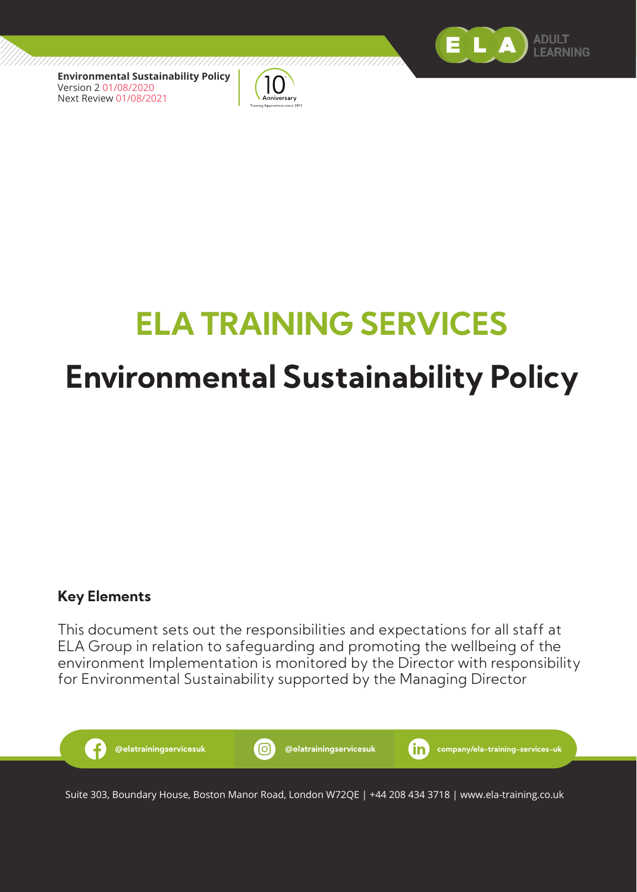

**Environmental Sustainability Policy** Version 2 01/08/2020 Next Review 01/08/2021



# **ELA TRAINING SERVICES Environmental Sustainability Policy**

#### **Key Elements**

This document sets out the responsibilities and expectations for all staff at ELA Group in relation to safeguarding and promoting the wellbeing of the environment Implementation is monitored by the Director with responsibility for Environmental Sustainability supported by the Managing Director



Suite 303, Boundary House, Boston Manor Road, London W72QE | +44 208 434 3718 | www.ela-training.co.uk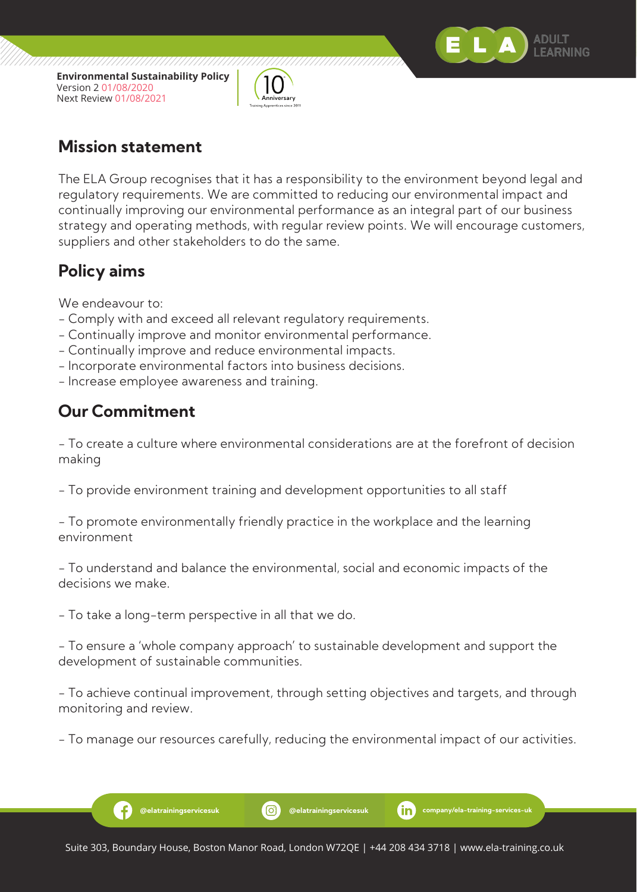

**Environmental Sustainability Policy** Version 2 01/08/2020 Next Review 01/08/2021



#### **Mission statement**

The ELA Group recognises that it has a responsibility to the environment beyond legal and regulatory requirements. We are committed to reducing our environmental impact and continually improving our environmental performance as an integral part of our business strategy and operating methods, with regular review points. We will encourage customers, suppliers and other stakeholders to do the same.

## **Policy aims**

We endeavour to:

- Comply with and exceed all relevant regulatory requirements.
- Continually improve and monitor environmental performance.
- Continually improve and reduce environmental impacts.
- Incorporate environmental factors into business decisions.
- Increase employee awareness and training.

## **Our Commitment**

Ð

- To create a culture where environmental considerations are at the forefront of decision making

- To provide environment training and development opportunities to all staff

- To promote environmentally friendly practice in the workplace and the learning environment

- To understand and balance the environmental, social and economic impacts of the decisions we make.

- To take a long-term perspective in all that we do.

- To ensure a 'whole company approach' to sustainable development and support the development of sustainable communities.

- To achieve continual improvement, through setting objectives and targets, and through monitoring and review.

- To manage our resources carefully, reducing the environmental impact of our activities.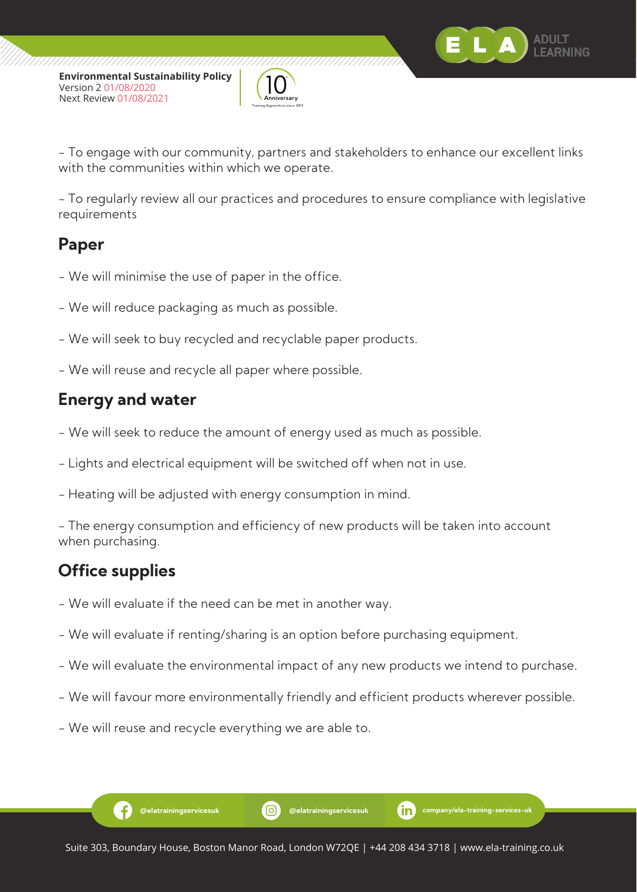

- To engage with our community, partners and stakeholders to enhance our excellent links with the communities within which we operate.

- To regularly review all our practices and procedures to ensure compliance with legislative requirements

#### **Paper**

- We will minimise the use of paper in the office.
- We will reduce packaging as much as possible.
- We will seek to buy recycled and recyclable paper products.
- We will reuse and recycle all paper where possible.

## **Energy and water**

- We will seek to reduce the amount of energy used as much as possible.
- Lights and electrical equipment will be switched off when not in use.
- Heating will be adjusted with energy consumption in mind.

- The energy consumption and efficiency of new products will be taken into account when purchasing.

## **Office supplies**

-6

- We will evaluate if the need can be met in another way.
- We will evaluate if renting/sharing is an option before purchasing equipment.
- We will evaluate the environmental impact of any new products we intend to purchase.
- We will favour more environmentally friendly and efficient products wherever possible.
- We will reuse and recycle everything we are able to.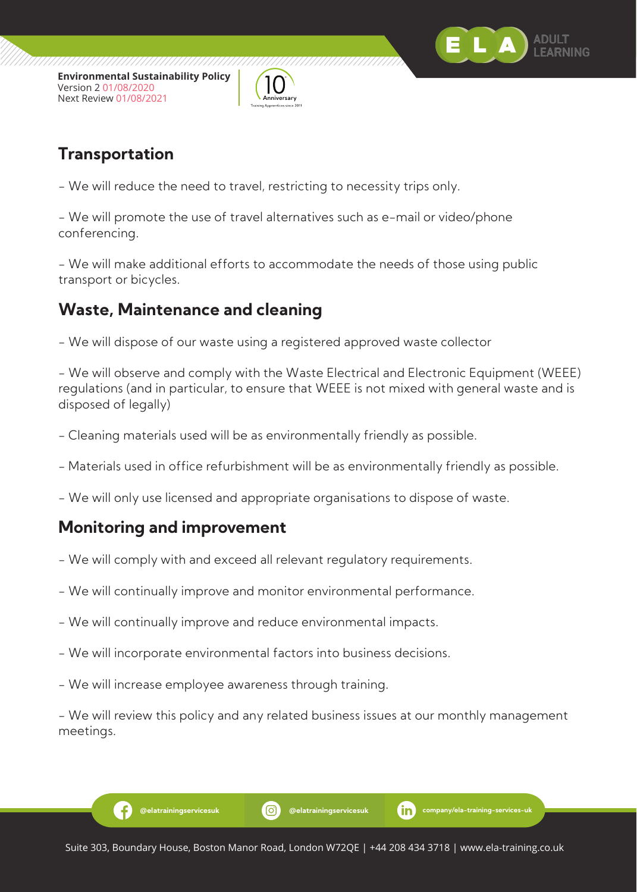



## **Transportation**

- We will reduce the need to travel, restricting to necessity trips only.

- We will promote the use of travel alternatives such as e-mail or video/phone conferencing.

- We will make additional efforts to accommodate the needs of those using public transport or bicycles.

## **Waste, Maintenance and cleaning**

- We will dispose of our waste using a registered approved waste collector

- We will observe and comply with the Waste Electrical and Electronic Equipment (WEEE) regulations (and in particular, to ensure that WEEE is not mixed with general waste and is disposed of legally)

- Cleaning materials used will be as environmentally friendly as possible.
- Materials used in office refurbishment will be as environmentally friendly as possible.
- We will only use licensed and appropriate organisations to dispose of waste.

## **Monitoring and improvement**

-6

- We will comply with and exceed all relevant regulatory requirements.
- We will continually improve and monitor environmental performance.
- We will continually improve and reduce environmental impacts.
- We will incorporate environmental factors into business decisions.
- We will increase employee awareness through training.

- We will review this policy and any related business issues at our monthly management meetings.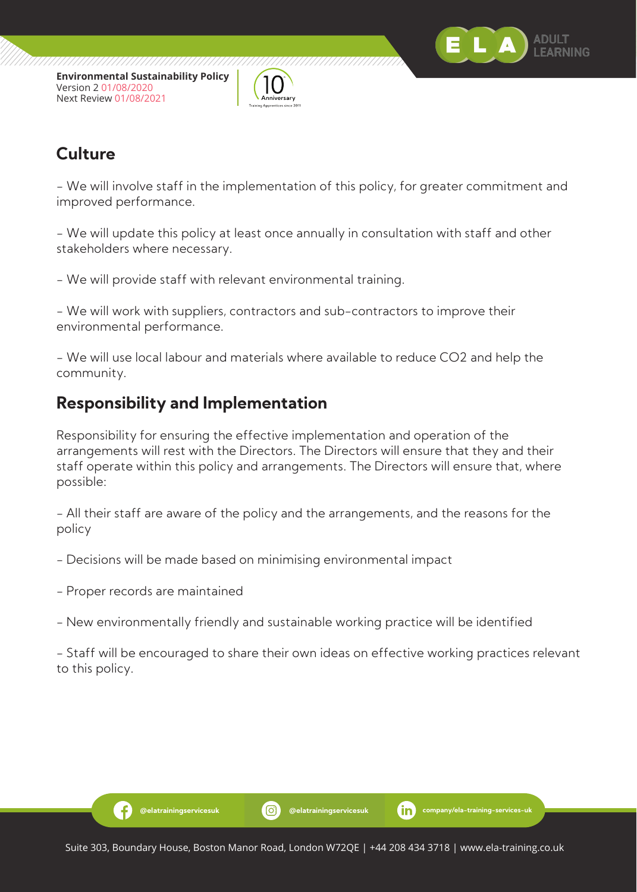



## **Culture**

- We will involve staff in the implementation of this policy, for greater commitment and improved performance.

- We will update this policy at least once annually in consultation with staff and other stakeholders where necessary.

- We will provide staff with relevant environmental training.

- We will work with suppliers, contractors and sub-contractors to improve their environmental performance.

- We will use local labour and materials where available to reduce CO2 and help the community.

## **Responsibility and Implementation**

Responsibility for ensuring the effective implementation and operation of the arrangements will rest with the Directors. The Directors will ensure that they and their staff operate within this policy and arrangements. The Directors will ensure that, where possible:

- All their staff are aware of the policy and the arrangements, and the reasons for the policy

- Decisions will be made based on minimising environmental impact

- Proper records are maintained

-6

- New environmentally friendly and sustainable working practice will be identified

- Staff will be encouraged to share their own ideas on effective working practices relevant to this policy.